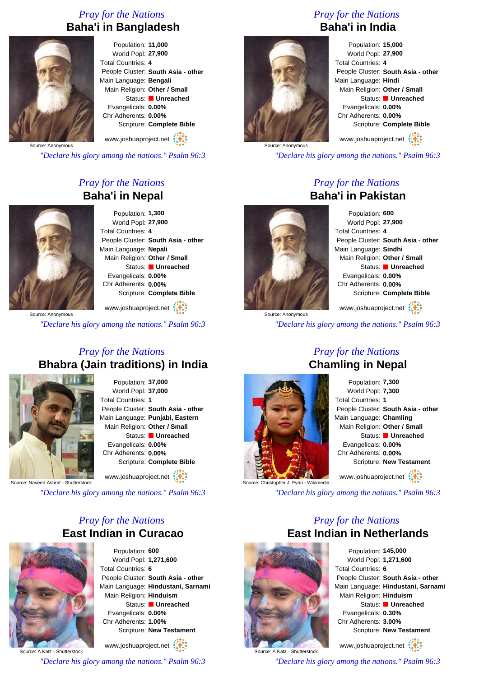# *Pray for the Nations* **Baha'i in Bangladesh**



Population: **11,000** World Popl: **27,900** Total Countries: **4** People Cluster: **South Asia - other** Main Language: **Bengali** Main Religion: **Other / Small** Status: **Unreached** Evangelicals: **0.00%** Chr Adherents: **0.00%** Scripture: **Complete Bible**

Source: Anonymous www.joshuaproject.net

*"Declare his glory among the nations." Psalm 96:3*

# *Pray for the Nations* **Baha'i in Nepal**



Population: **1,300** World Popl: **27,900** Total Countries: **4** People Cluster: **South Asia - other** Main Language: **Nepali** Main Religion: **Other / Small** Status: **Unreached** Evangelicals: **0.00%** Chr Adherents: **0.00%** Scripture: **Complete Bible**

www.joshuaproject.net

*"Declare his glory among the nations." Psalm 96:3*

# *Pray for the Nations* **Bhabra (Jain traditions) in India**



Population: **37,000** World Popl: **37,000** Total Countries: **1** People Cluster: **South Asia - other** Main Language: **Punjabi, Eastern** Main Religion: **Other / Small** Status: **Unreached** Evangelicals: **0.00%** Chr Adherents: **0.00%** Scripture: **Complete Bible**

www.joshuaproject.net

Source: Naveed Ashraf - Shutterstock

*"Declare his glory among the nations." Psalm 96:3*

# *Pray for the Nations* **East Indian in Curacao**



Population: **600** World Popl: **1,271,600** Total Countries: **6** People Cluster: **South Asia - other** Main Language: **Hindustani, Sarnami** Main Religion: **Hinduism** Status: **Unreached** Evangelicals: **0.00%** Chr Adherents: **1.00%** Scripture: **New Testament**

www.joshuaproject.net

*"Declare his glory among the nations." Psalm 96:3*

# *Pray for the Nations* **Baha'i in India**



Population: **15,000** World Popl: **27,900** Total Countries: **4** People Cluster: **South Asia - other** Main Language: **Hindi** Main Religion: **Other / Small** Status: **Unreached** Evangelicals: **0.00%** Chr Adherents: **0.00%** Scripture: **Complete Bible**

www.joshuaproject.net

*"Declare his glory among the nations." Psalm 96:3*

# *Pray for the Nations* **Baha'i in Pakistan**



Population: **600** World Popl: **27,900** Total Countries: **4** People Cluster: **South Asia - other** Main Language: **Sindhi** Main Religion: **Other / Small** Status: **Unreached** Evangelicals: **0.00%** Chr Adherents: **0.00%** Scripture: **Complete Bible** www.joshuaproject.net

*"Declare his glory among the nations." Psalm 96:3*



Population: **7,300** World Popl: **7,300** Total Countries: **1** People Cluster: **South Asia - other** Main Language: **Chamling** Main Religion: **Other / Small** Status: **Unreached** Evangelicals: **0.00%** Chr Adherents: **0.00%** Scripture: **New Testament** www.joshuaproject.net

*"Declare his glory among the nations." Psalm 96:3*

# *Pray for the Nations* **East Indian in Netherlands**



Population: **145,000** World Popl: **1,271,600** Total Countries: **6** People Cluster: **South Asia - other** Main Language: **Hindustani, Sarnami** Main Religion: **Hinduism** Status: **Unreached** Evangelicals: **0.30%** Chr Adherents: **3.00%** Scripture: **New Testament**

www.joshuaproject.net

*"Declare his glory among the nations." Psalm 96:3*

*Pray for the Nations* **Chamling in Nepal**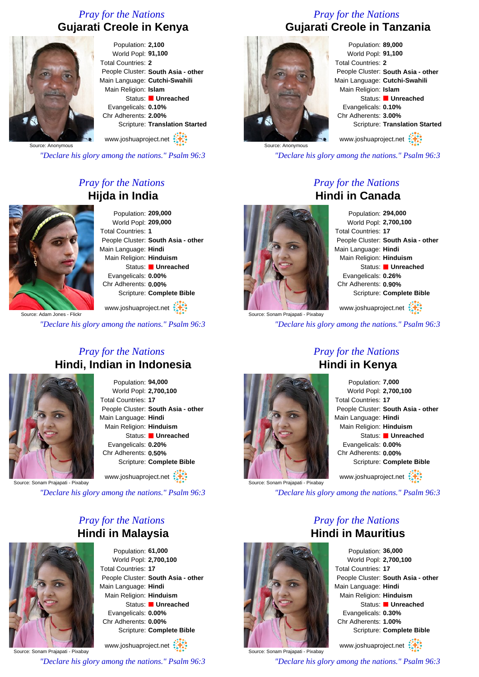# *Pray for the Nations* **Gujarati Creole in Kenya**



Population: **2,100** World Popl: **91,100** Total Countries: **2** People Cluster: **South Asia - other** Main Language: **Cutchi-Swahili** Main Religion: **Islam** Status: **Unreached** Evangelicals: **0.10%** Chr Adherents: **2.00%** Scripture: **Translation Started** www.joshuaproject.net

Source: Anonymous

*"Declare his glory among the nations." Psalm 96:3*

# *Pray for the Nations* **Hijda in India**



Population: **209,000** World Popl: **209,000** Total Countries: **1** People Cluster: **South Asia - other** Main Language: **Hindi** Main Religion: **Hinduism** Status: **Unreached** Evangelicals: **0.00%** Chr Adherents: **0.00%** Scripture: **Complete Bible**

www.joshuaproject.net

*"Declare his glory among the nations." Psalm 96:3*

#### *Pray for the Nations* **Hindi, Indian in Indonesia**



Population: **94,000** World Popl: **2,700,100** Total Countries: **17** People Cluster: **South Asia - other** Main Language: **Hindi** Main Religion: **Hinduism** Status: **Unreached** Evangelicals: **0.20%** Chr Adherents: **0.50%** Scripture: **Complete Bible**

www.joshuaproject.net

Source: Sonam Prajapati - Pixabay

*"Declare his glory among the nations." Psalm 96:3*

# *Pray for the Nations* **Hindi in Malaysia**



Population: **61,000** World Popl: **2,700,100** Total Countries: **17** People Cluster: **South Asia - other** Main Language: **Hindi** Main Religion: **Hinduism** Status: **Unreached** Evangelicals: **0.00%** Chr Adherents: **0.00%** Scripture: **Complete Bible**

Source: Sonam Prajapati - Pixabay www.joshuaproject.net *"Declare his glory among the nations." Psalm 96:3*

# *Pray for the Nations* **Gujarati Creole in Tanzania**



Population: **89,000** World Popl: **91,100** Total Countries: **2** People Cluster: **South Asia - other** Main Language: **Cutchi-Swahili** Main Religion: **Islam** Status: **Unreached** Evangelicals: **0.10%** Chr Adherents: **3.00%** Scripture: **Translation Started**

www.joshuaproject.net

*"Declare his glory among the nations." Psalm 96:3*

# *Pray for the Nations* **Hindi in Canada**



Population: **294,000** World Popl: **2,700,100** Total Countries: **17** People Cluster: **South Asia - other** Main Language: **Hindi** Main Religion: **Hinduism** Status: **Unreached** Evangelicals: **0.26%** Chr Adherents: **0.90%** Scripture: **Complete Bible** www.joshuaproject.net

*"Declare his glory among the nations." Psalm 96:3*

# *Pray for the Nations* **Hindi in Kenya**



Population: **7,000** World Popl: **2,700,100** Total Countries: **17** People Cluster: **South Asia - other** Main Language: **Hindi** Main Religion: **Hinduism** Status: **Unreached** Evangelicals: **0.00%** Chr Adherents: **0.00%** Scripture: **Complete Bible** www.joshuaproject.net

*"Declare his glory among the nations." Psalm 96:3*

*Pray for the Nations*



Population: **36,000** World Popl: **2,700,100** Total Countries: **17** People Cluster: **South Asia - other** Main Language: **Hindi** Main Religion: **Hinduism** Status: **Unreached** Evangelicals: **0.30%** Chr Adherents: **1.00%** Scripture: **Complete Bible**

www.joshuaproject.net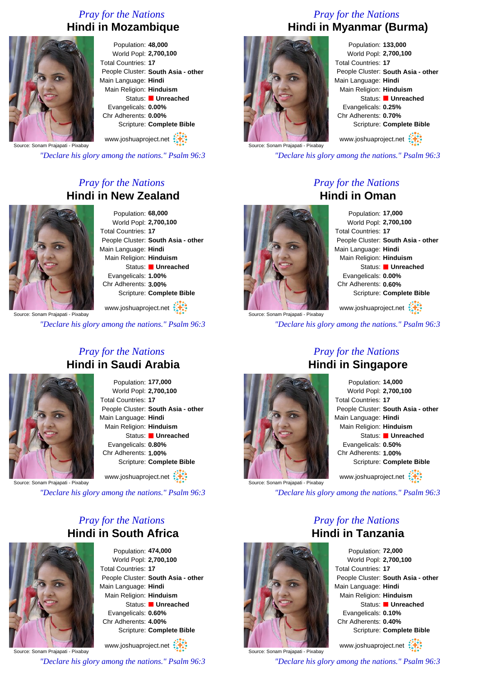# *Pray for the Nations* **Hindi in Mozambique**



Population: **48,000** World Popl: **2,700,100** Total Countries: **17** People Cluster: **South Asia - other** Main Language: **Hindi** Main Religion: **Hinduism** Status: **Unreached** Evangelicals: **0.00%** Chr Adherents: **0.00%** Scripture: **Complete Bible** www.joshuaproject.net

Source: Sonam Prajapati - Pixabay

*"Declare his glory among the nations." Psalm 96:3*

# *Pray for the Nations* **Hindi in New Zealand**



Population: **68,000** World Popl: **2,700,100** Total Countries: **17** People Cluster: **South Asia - other** Main Language: **Hindi** Main Religion: **Hinduism** Status: **Unreached** Evangelicals: **1.00%** Chr Adherents: **3.00%** Scripture: **Complete Bible**

www.joshuaproject.net

*"Declare his glory among the nations." Psalm 96:3*

#### *Pray for the Nations* **Hindi in Saudi Arabia**



Population: **177,000** World Popl: **2,700,100** Total Countries: **17** People Cluster: **South Asia - other** Main Language: **Hindi** Main Religion: **Hinduism** Status: **Unreached** Evangelicals: **0.80%** Chr Adherents: **1.00%** Scripture: **Complete Bible**

www.joshuaproject.net

ajapati - Pixabay

*"Declare his glory among the nations." Psalm 96:3*

# *Pray for the Nations* **Hindi in South Africa**



Population: **474,000** World Popl: **2,700,100** Total Countries: **17** People Cluster: **South Asia - other** Main Language: **Hindi** Main Religion: **Hinduism** Status: **Unreached** Evangelicals: **0.60%** Chr Adherents: **4.00%** Scripture: **Complete Bible**

Source: Sonam Prajapati - Pixabay www.joshuaproject.net *"Declare his glory among the nations." Psalm 96:3*

# *Pray for the Nations* **Hindi in Myanmar (Burma)**



Population: **133,000** World Popl: **2,700,100** Total Countries: **17** People Cluster: **South Asia - other** Main Language: **Hindi** Main Religion: **Hinduism** Status: **Unreached** Evangelicals: **0.25%** Chr Adherents: **0.70%** Scripture: **Complete Bible**

www.joshuaproject.net

*"Declare his glory among the nations." Psalm 96:3*

# *Pray for the Nations* **Hindi in Oman**



Population: **17,000** World Popl: **2,700,100** Total Countries: **17** People Cluster: **South Asia - other** Main Language: **Hindi** Main Religion: **Hinduism** Status: **Unreached** Evangelicals: **0.00%** Chr Adherents: **0.60%** Scripture: **Complete Bible** www.joshuaproject.net

*"Declare his glory among the nations." Psalm 96:3*



# *Pray for the Nations* **Hindi in Singapore**

Population: **14,000** World Popl: **2,700,100** Total Countries: **17** People Cluster: **South Asia - other** Main Language: **Hindi** Main Religion: **Hinduism** Status: **Unreached** Evangelicals: **0.50%** Chr Adherents: **1.00%** Scripture: **Complete Bible** www.joshuaproject.net

*"Declare his glory among the nations." Psalm 96:3*

*Pray for the Nations* **Hindi in Tanzania** Population: **72,000**

World Popl: **2,700,100** Total Countries: **17** People Cluster: **South Asia - other** Main Language: **Hindi** Main Religion: **Hinduism** Status: **Unreached** Evangelicals: **0.10%** Chr Adherents: **0.40%** Scripture: **Complete Bible**

www.joshuaproject.net



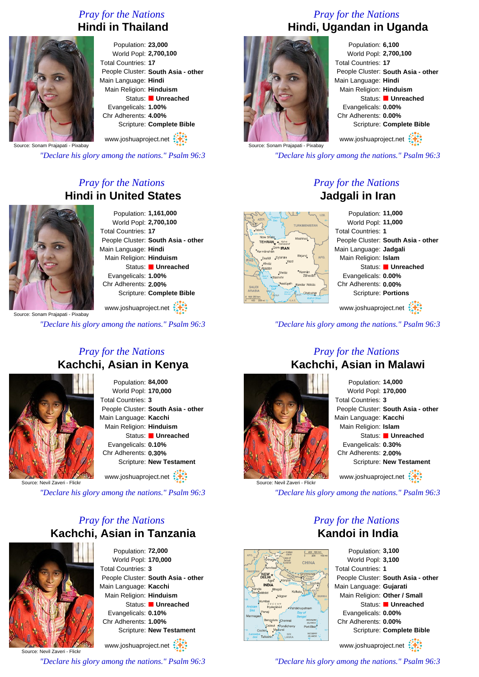# *Pray for the Nations* **Hindi in Thailand**



Population: **23,000** World Popl: **2,700,100** Total Countries: **17** People Cluster: **South Asia - other** Main Language: **Hindi** Main Religion: **Hinduism** Status: **Unreached** Evangelicals: **1.00%** Chr Adherents: **4.00%** Scripture: **Complete Bible** www.joshuaproject.net

Source: Sonam Prajapati - Pixabay

*"Declare his glory among the nations." Psalm 96:3*

# *Pray for the Nations* **Hindi in United States**



Population: **1,161,000** World Popl: **2,700,100** Total Countries: **17** People Cluster: **South Asia - other** Main Language: **Hindi** Main Religion: **Hinduism** Status: **Unreached** Evangelicals: **1.00%** Chr Adherents: **2.00%** Scripture: **Complete Bible**

www.joshuaproject.net

*"Declare his glory among the nations." Psalm 96:3*

# *Pray for the Nations* **Kachchi, Asian in Kenya**



Population: **84,000** World Popl: **170,000** Total Countries: **3** People Cluster: **South Asia - other** Main Language: **Kacchi** Main Religion: **Hinduism** Status: **Unreached** Evangelicals: **0.10%** Chr Adherents: **0.30%** Scripture: **New Testament**

www.joshuaproject.net

Source: Nevil Zaveri - Flickr

*"Declare his glory among the nations." Psalm 96:3*

# *Pray for the Nations* **Kachchi, Asian in Tanzania**



Population: **72,000** World Popl: **170,000** Total Countries: **3** People Cluster: **South Asia - other** Main Language: **Kacchi** Main Religion: **Hinduism** Status: **Unreached** Evangelicals: **0.10%** Chr Adherents: **1.00%** Scripture: **New Testament** www.joshuaproject.net

Source: Nevil Zaveri - Flickr

*"Declare his glory among the nations." Psalm 96:3*

# *Pray for the Nations* **Hindi, Ugandan in Uganda**



Population: **6,100** World Popl: **2,700,100** Total Countries: **17** People Cluster: **South Asia - other** Main Language: **Hindi** Main Religion: **Hinduism** Status: **Unreached** Evangelicals: **0.00%** Chr Adherents: **0.00%** Scripture: **Complete Bible** www.joshuaproject.net

*"Declare his glory among the nations." Psalm 96:3*

*Pray for the Nations* **Jadgali in Iran**



*"Declare his glory among the nations." Psalm 96:3*



# *Pray for the Nations* **Kachchi, Asian in Malawi**



*"Declare his glory among the nations." Psalm 96:3*

CHINA

# *Pray for the Nations* **Kandoi in India**

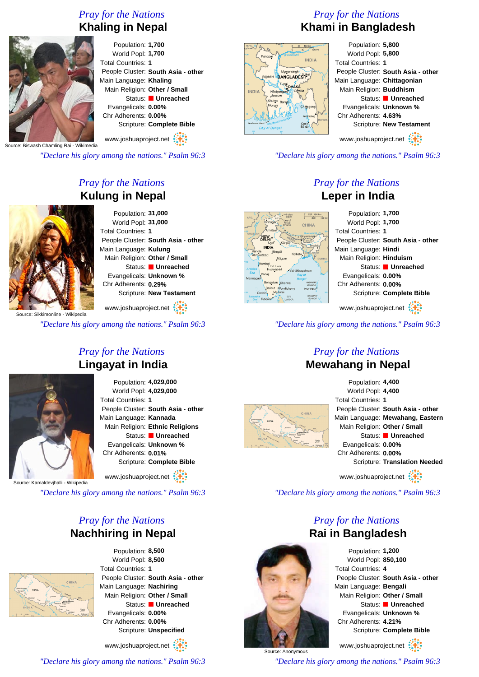# *Pray for the Nations*





Population: **1,700** World Popl: **1,700** Total Countries: **1** People Cluster: **South Asia - other** Main Language: **Khaling** Main Religion: **Other / Small** Status: **Unreached** Evangelicals: **0.00%** Chr Adherents: **0.00%** Scripture: **Complete Bible**

www.joshuaproject.net

**Biswash Chamling Rai - Wikimedia** 

*"Declare his glory among the nations." Psalm 96:3*

# *Pray for the Nations* **Kulung in Nepal**



Population: **31,000** World Popl: **31,000** Total Countries: **1** People Cluster: **South Asia - other** Main Language: **Kulung** Main Religion: **Other / Small** Status: **Unreached** Evangelicals: **Unknown %** Chr Adherents: **0.29%** Scripture: **New Testament**

www.joshuaproject.net

*"Declare his glory among the nations." Psalm 96:3*

# *Pray for the Nations* **Lingayat in India**



Population: **4,029,000** World Popl: **4,029,000** Total Countries: **1** People Cluster: **South Asia - other** Main Language: **Kannada** Main Religion: **Ethnic Religions** Status: **Unreached** Evangelicals: **Unknown %** Chr Adherents: **0.01%** Scripture: **Complete Bible**

www.joshuaproject.net

vihalli - Wikipedia

*"Declare his glory among the nations." Psalm 96:3*

# *Pray for the Nations* **Nachhiring in Nepal**



Population: **8,500** World Popl: **8,500** Total Countries: **1** People Cluster: **South Asia - other** Main Language: **Nachiring** Main Religion: **Other / Small** Status: **Unreached** Evangelicals: **0.00%** Chr Adherents: **0.00%** Scripture: **Unspecified**

www.joshuaproject.net

*"Declare his glory among the nations." Psalm 96:3*

# *Pray for the Nations* **Khami in Bangladesh**



Population: **5,800** World Popl: **5,800** Total Countries: **1** People Cluster: **South Asia - other** Main Language: **Chittagonian** Main Religion: **Buddhism** Status: **Unreached** Evangelicals: **Unknown %** Chr Adherents: **4.63%** Scripture: **New Testament** www.joshuaproject.net

*"Declare his glory among the nations." Psalm 96:3*

# *Pray for the Nations* **Leper in India**



*"Declare his glory among the nations." Psalm 96:3*

#### *Pray for the Nations* **Mewahang in Nepal**



Source: Anonymous

Population: **4,400** World Popl: **4,400** Total Countries: **1** People Cluster: **South Asia - other** Main Language: **Mewahang, Eastern** Main Religion: **Other / Small** Status: **Unreached** Evangelicals: **0.00%** Chr Adherents: **0.00%** Scripture: **Translation Needed** www.joshuaproject.net

*"Declare his glory among the nations." Psalm 96:3*

# *Pray for the Nations* **Rai in Bangladesh**



www.joshuaproject.net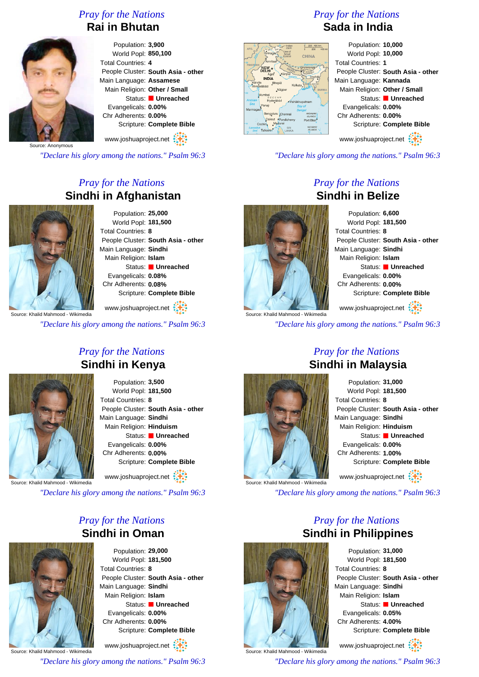# *Pray for the Nations* **Rai in Bhutan**



Population: **3,900** World Popl: **850,100** Total Countries: **4** People Cluster: **South Asia - other** Main Language: **Assamese** Main Religion: **Other / Small** Status: **Unreached** Evangelicals: **0.00%** Chr Adherents: **0.00%** Scripture: **Complete Bible** www.joshuaproject.net

Source: Anonymous

*"Declare his glory among the nations." Psalm 96:3*

# *Pray for the Nations* **Sindhi in Afghanistan**



Population: **25,000** World Popl: **181,500** Total Countries: **8** People Cluster: **South Asia - other** Main Language: **Sindhi** Main Religion: **Islam** Status: **Unreached** Evangelicals: **0.08%** Chr Adherents: **0.08%** Scripture: **Complete Bible**

www.joshuaproject.net

*"Declare his glory among the nations." Psalm 96:3*

# *Pray for the Nations* **Sindhi in Kenya**



Population: **3,500** World Popl: **181,500** Total Countries: **8** People Cluster: **South Asia - other** Main Language: **Sindhi** Main Religion: **Hinduism** Status: **Unreached** Evangelicals: **0.00%** Chr Adherents: **0.00%** Scripture: **Complete Bible** www.joshuaproject.net

Source: Khalid

*"Declare his glory among the nations." Psalm 96:3*

# *Pray for the Nations* **Sindhi in Oman**



Population: **29,000** World Popl: **181,500** Total Countries: **8** People Cluster: **South Asia - other** Main Language: **Sindhi** Main Religion: **Islam** Status: **Unreached** Evangelicals: **0.00%** Chr Adherents: **0.00%** Scripture: **Complete Bible** www.joshuaproject.net

Source: Khalid Mahmood - Wikimedia

*"Declare his glory among the nations." Psalm 96:3*

# *Pray for the Nations* **Sada in India**



Population: **10,000** World Popl: **10,000** Total Countries: **1** People Cluster: **South Asia - other** Main Language: **Kannada** Main Religion: **Other / Small** Status: **Unreached** Evangelicals: **0.00%** Chr Adherents: **0.00%** Scripture: **Complete Bible**

www.joshuaproject.net

*"Declare his glory among the nations." Psalm 96:3*

*Pray for the Nations*

# **Sindhi in Belize**

Source: Khalid Mahmood - Wikimedia

Population: **6,600** World Popl: **181,500** Total Countries: **8** People Cluster: **South Asia - other** Main Language: **Sindhi** Main Religion: **Islam** Status: **Unreached** Evangelicals: **0.00%** Chr Adherents: **0.00%** Scripture: **Complete Bible** www.joshuaproject.net

*"Declare his glory among the nations." Psalm 96:3*



# *Pray for the Nations* **Sindhi in Malaysia**

| Population: 31,000      |                                    |
|-------------------------|------------------------------------|
| World Popl: 181,500     |                                    |
| Total Countries: 8      |                                    |
|                         | People Cluster: South Asia - other |
| Main Language: Sindhi   |                                    |
| Main Religion: Hinduism |                                    |
|                         | Status: Unreached                  |
| Evangelicals: 0.00%     |                                    |
| Chr Adherents: 1.00%    |                                    |
|                         | Scripture: Complete Bible          |
| www.joshuaproject.net   |                                    |

*"Declare his glory among the nations." Psalm 96:3*

*Pray for the Nations*



Population: **31,000** World Popl: **181,500** Total Countries: **8** People Cluster: **South Asia - other** Main Language: **Sindhi** Main Religion: **Islam** Status: **Unreached** Evangelicals: **0.05%** Chr Adherents: **4.00%** Scripture: **Complete Bible** www.joshuaproject.net

Source: Khalid Mahmood - Wikimedia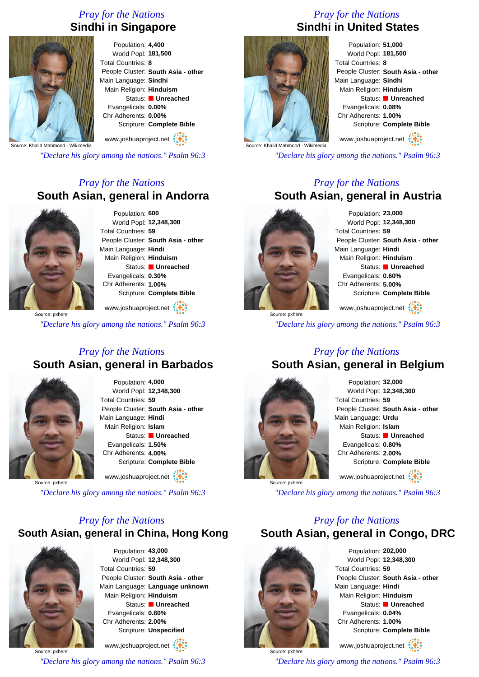# *Pray for the Nations* **Sindhi in Singapore**



Population: **4,400** World Popl: **181,500** Total Countries: **8** People Cluster: **South Asia - other** Main Language: **Sindhi** Main Religion: **Hinduism** Status: **Unreached** Evangelicals: **0.00%** Chr Adherents: **0.00%** Scripture: **Complete Bible**

www.joshuaproject.net

Source: Khalid Mahmood - Wikimedia

*"Declare his glory among the nations." Psalm 96:3*

# *Pray for the Nations* **South Asian, general in Andorra**



Population: **600** World Popl: **12,348,300** Total Countries: **59** People Cluster: **South Asia - other** Main Language: **Hindi** Main Religion: **Hinduism** Status: **Unreached** Evangelicals: **0.30%** Chr Adherents: **1.00%** Scripture: **Complete Bible**

Source: pxhere www.joshuaproject.net

*"Declare his glory among the nations." Psalm 96:3*

# *Pray for the Nations* **South Asian, general in Barbados**



Population: **4,000** World Popl: **12,348,300** Total Countries: **59** People Cluster: **South Asia - other** Main Language: **Hindi** Main Religion: **Islam** Status: **Unreached** Evangelicals: **1.50%** Chr Adherents: **4.00%** Scripture: **Complete Bible** www.joshuaproject.net

Source: pxhere

*"Declare his glory among the nations." Psalm 96:3*

# *Pray for the Nations* **South Asian, general in China, Hong Kong**



Population: **43,000** World Popl: **12,348,300** Total Countries: **59** People Cluster: **South Asia - other** Main Language: **Language unknown** Main Religion: **Hinduism** Status: **Unreached** Evangelicals: **0.80%** Chr Adherents: **2.00%** Scripture: **Unspecified**

Source: pxhere www.joshuaproject.net *"Declare his glory among the nations." Psalm 96:3*

# *Pray for the Nations* **Sindhi in United States**



Population: **51,000** World Popl: **181,500** Total Countries: **8** People Cluster: **South Asia - other** Main Language: **Sindhi** Main Religion: **Hinduism** Status: **Unreached** Evangelicals: **0.08%** Chr Adherents: **1.00%** Scripture: **Complete Bible**

www.joshuaproject.net

*"Declare his glory among the nations." Psalm 96:3*

# *Pray for the Nations* **South Asian, general in Austria**



Population: **23,000** World Popl: **12,348,300** Total Countries: **59** People Cluster: **South Asia - other** Main Language: **Hindi** Main Religion: **Hinduism** Status: **Unreached** Evangelicals: **0.60%** Chr Adherents: **5.00%** Scripture: **Complete Bible**

www.joshuaproject.net

*"Declare his glory among the nations." Psalm 96:3*

# *Pray for the Nations*

# **South Asian, general in Belgium**



Population: **32,000** World Popl: **12,348,300** Total Countries: **59** People Cluster: **South Asia - other** Main Language: **Urdu** Main Religion: **Islam** Status: **Unreached** Evangelicals: **0.80%** Chr Adherents: **2.00%** Scripture: **Complete Bible** www.joshuaproject.net

*"Declare his glory among the nations." Psalm 96:3*

# *Pray for the Nations* **South Asian, general in Congo, DRC**



Source: pxhere

Population: **202,000** World Popl: **12,348,300** Total Countries: **59** People Cluster: **South Asia - other** Main Language: **Hindi** Main Religion: **Hinduism** Status: **Unreached** Evangelicals: **0.04%** Chr Adherents: **1.00%** Scripture: **Complete Bible**

www.joshuaproject.net

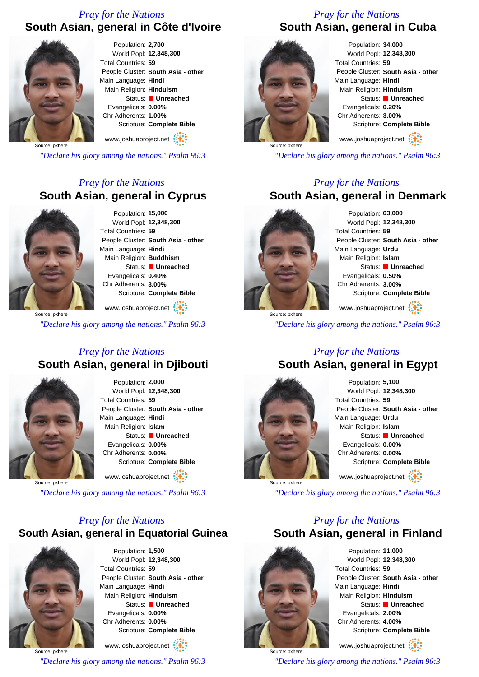# *Pray for the Nations* **South Asian, general in Côte d'Ivoire**



Population: **2,700** World Popl: **12,348,300** Total Countries: **59** People Cluster: **South Asia - other** Main Language: **Hindi** Main Religion: **Hinduism** Status: **Unreached** Evangelicals: **0.00%** Chr Adherents: **1.00%** Scripture: **Complete Bible**

www.joshuaproject.net

Source: pxhere

*"Declare his glory among the nations." Psalm 96:3*

# *Pray for the Nations* **South Asian, general in Cyprus**



Population: **15,000** World Popl: **12,348,300** Total Countries: **59** People Cluster: **South Asia - other** Main Language: **Hindi** Main Religion: **Buddhism** Status: **Unreached** Evangelicals: **0.40%** Chr Adherents: **3.00%** Scripture: **Complete Bible**

Source: pxhere www.joshuaproject.net

*"Declare his glory among the nations." Psalm 96:3*

#### *Pray for the Nations* **South Asian, general in Djibouti**



Population: **2,000** World Popl: **12,348,300** Total Countries: **59** People Cluster: **South Asia - other** Main Language: **Hindi** Main Religion: **Islam** Status: **Unreached** Evangelicals: **0.00%** Chr Adherents: **0.00%** Scripture: **Complete Bible** www.joshuaproject.net

Source: pxhere

*"Declare his glory among the nations." Psalm 96:3*

#### *Pray for the Nations* **South Asian, general in Equatorial Guinea**



Population: **1,500** World Popl: **12,348,300** Total Countries: **59** People Cluster: **South Asia - other** Main Language: **Hindi** Main Religion: **Hinduism** Status: **Unreached** Evangelicals: **0.00%** Chr Adherents: **0.00%** Scripture: **Complete Bible**

Source: pxhere www.joshuaproject.net *"Declare his glory among the nations." Psalm 96:3*

# *Pray for the Nations* **South Asian, general in Cuba**



Population: **34,000** World Popl: **12,348,300** Total Countries: **59** People Cluster: **South Asia - other** Main Language: **Hindi** Main Religion: **Hinduism** Status: **Unreached** Evangelicals: **0.20%** Chr Adherents: **3.00%** Scripture: **Complete Bible**

www.joshuaproject.net

*"Declare his glory among the nations." Psalm 96:3*

# *Pray for the Nations*

# **South Asian, general in Denmark**



Population: **63,000** World Popl: **12,348,300** Total Countries: **59** People Cluster: **South Asia - other** Main Language: **Urdu** Main Religion: **Islam** Status: **Unreached** Evangelicals: **0.50%** Chr Adherents: **3.00%** Scripture: **Complete Bible** www.joshuaproject.net

Source: pxhere

*"Declare his glory among the nations." Psalm 96:3*

#### *Pray for the Nations* **South Asian, general in Egypt**



Population: **5,100** World Popl: **12,348,300** Total Countries: **59** People Cluster: **South Asia - other** Main Language: **Urdu** Main Religion: **Islam** Status: **Unreached** Evangelicals: **0.00%** Chr Adherents: **0.00%** Scripture: **Complete Bible** www.joshuaproject.net

*"Declare his glory among the nations." Psalm 96:3*

#### *Pray for the Nations* **South Asian, general in Finland**



Source: pxhere

Population: **11,000** World Popl: **12,348,300** Total Countries: **59** People Cluster: **South Asia - other** Main Language: **Hindi** Main Religion: **Hinduism** Status: **Unreached** Evangelicals: **2.00%** Chr Adherents: **4.00%** Scripture: **Complete Bible**

www.joshuaproject.net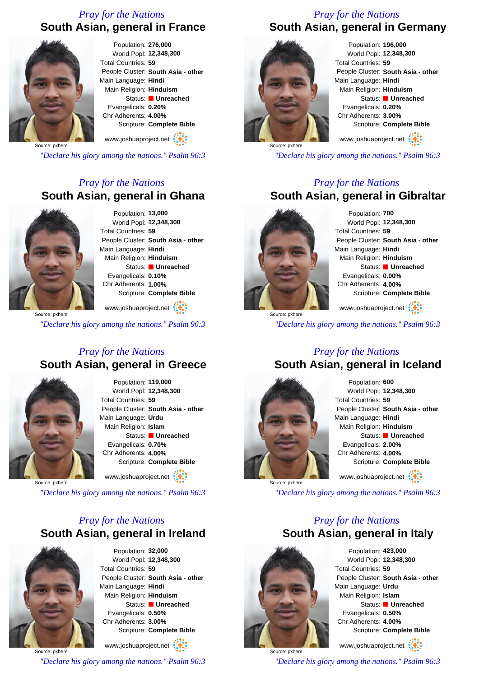# *Pray for the Nations* **South Asian, general in France**



Population: **276,000** World Popl: **12,348,300** Total Countries: **59** People Cluster: **South Asia - other** Main Language: **Hindi** Main Religion: **Hinduism** Status: **Unreached** Evangelicals: **0.20%** Chr Adherents: **4.00%** Scripture: **Complete Bible** www.joshuaproject.net

Source: pxhere

*"Declare his glory among the nations." Psalm 96:3*

# *Pray for the Nations* **South Asian, general in Ghana**



Population: **13,000** World Popl: **12,348,300** Total Countries: **59** People Cluster: **South Asia - other** Main Language: **Hindi** Main Religion: **Hinduism** Status: **Unreached** Evangelicals: **0.10%** Chr Adherents: **1.00%** Scripture: **Complete Bible**

Source: pxhere www.joshuaproject.net

*"Declare his glory among the nations." Psalm 96:3*

# *Pray for the Nations* **South Asian, general in Greece**



Population: **119,000** World Popl: **12,348,300** Total Countries: **59** People Cluster: **South Asia - other** Main Language: **Urdu** Main Religion: **Islam** Status: **Unreached** Evangelicals: **0.70%** Chr Adherents: **4.00%** Scripture: **Complete Bible** www.joshuaproject.net

Source: pxhere

*"Declare his glory among the nations." Psalm 96:3*

# *Pray for the Nations* **South Asian, general in Ireland**



Population: **32,000** World Popl: **12,348,300** Total Countries: **59** People Cluster: **South Asia - other** Main Language: **Hindi** Main Religion: **Hinduism** Status: **Unreached** Evangelicals: **0.50%** Chr Adherents: **3.00%** Scripture: **Complete Bible**

Source: pxhere www.joshuaproject.net

*"Declare his glory among the nations." Psalm 96:3*

# *Pray for the Nations* **South Asian, general in Germany**



Population: **196,000** World Popl: **12,348,300** Total Countries: **59** People Cluster: **South Asia - other** Main Language: **Hindi** Main Religion: **Hinduism** Status: **Unreached** Evangelicals: **0.20%** Chr Adherents: **3.00%** Scripture: **Complete Bible**

www.joshuaproject.net

*"Declare his glory among the nations." Psalm 96:3*

#### *Pray for the Nations* **South Asian, general in Gibraltar**



Source: pxhere

Population: **700** World Popl: **12,348,300** Total Countries: **59** People Cluster: **South Asia - other** Main Language: **Hindi** Main Religion: **Hinduism** Status: **Unreached** Evangelicals: **0.00%** Chr Adherents: **4.00%** Scripture: **Complete Bible**

www.joshuaproject.net

*"Declare his glory among the nations." Psalm 96:3*

# *Pray for the Nations* **South Asian, general in Iceland**



Population: **600** World Popl: **12,348,300** Total Countries: **59** People Cluster: **South Asia - other** Main Language: **Hindi** Main Religion: **Hinduism** Status: **Unreached** Evangelicals: **2.00%** Chr Adherents: **4.00%** Scripture: **Complete Bible** www.joshuaproject.net

*"Declare his glory among the nations." Psalm 96:3*

# *Pray for the Nations* **South Asian, general in Italy**



Source: pxhere

Population: **423,000** World Popl: **12,348,300** Total Countries: **59** People Cluster: **South Asia - other** Main Language: **Urdu** Main Religion: **Islam** Status: **Unreached** Evangelicals: **0.50%** Chr Adherents: **4.00%** Scripture: **Complete Bible**

www.joshuaproject.net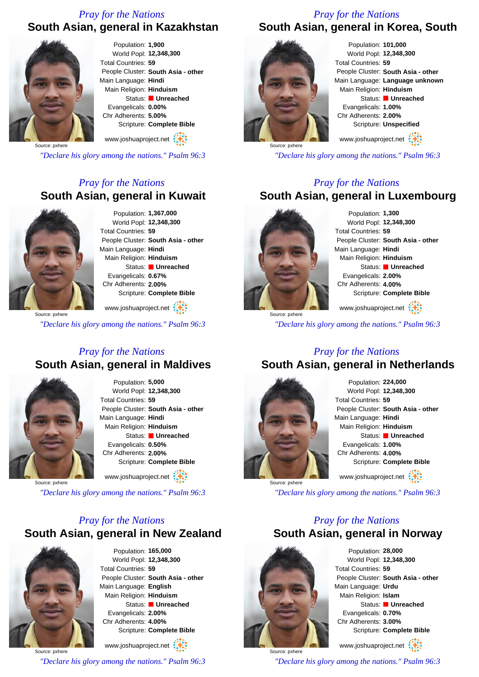# *Pray for the Nations*

# **South Asian, general in Kazakhstan**



Population: **1,900** World Popl: **12,348,300** Total Countries: **59** People Cluster: **South Asia - other** Main Language: **Hindi** Main Religion: **Hinduism** Status: **Unreached** Evangelicals: **0.00%** Chr Adherents: **5.00%** Scripture: **Complete Bible**

www.joshuaproject.net

Source: pxhere

*"Declare his glory among the nations." Psalm 96:3*

# *Pray for the Nations* **South Asian, general in Kuwait**



Population: **1,367,000** World Popl: **12,348,300** Total Countries: **59** People Cluster: **South Asia - other** Main Language: **Hindi** Main Religion: **Hinduism** Status: **Unreached** Evangelicals: **0.67%** Chr Adherents: **2.00%** Scripture: **Complete Bible**

Source: pxhere www.joshuaproject.net

*"Declare his glory among the nations." Psalm 96:3*

# *Pray for the Nations* **South Asian, general in Maldives**



Population: **5,000** World Popl: **12,348,300** Total Countries: **59** People Cluster: **South Asia - other** Main Language: **Hindi** Main Religion: **Hinduism** Status: **Unreached** Evangelicals: **0.50%** Chr Adherents: **2.00%** Scripture: **Complete Bible** www.joshuaproject.net

Source: pxhere

*"Declare his glory among the nations." Psalm 96:3*

# *Pray for the Nations* **South Asian, general in New Zealand**



Population: **165,000** World Popl: **12,348,300** Total Countries: **59** People Cluster: **South Asia - other** Main Language: **English** Main Religion: **Hinduism** Status: **Unreached** Evangelicals: **2.00%** Chr Adherents: **4.00%** Scripture: **Complete Bible**

Source: pxhere www.joshuaproject.net *"Declare his glory among the nations." Psalm 96:3*

# *Pray for the Nations* **South Asian, general in Korea, South**



Population: **101,000** World Popl: **12,348,300** Total Countries: **59** People Cluster: **South Asia - other** Main Language: **Language unknown** Main Religion: **Hinduism** Status: **Unreached** Evangelicals: **1.00%** Chr Adherents: **2.00%** Scripture: **Unspecified**

www.joshuaproject.net

*"Declare his glory among the nations." Psalm 96:3*

# *Pray for the Nations*

# **South Asian, general in Luxembourg**



Population: **1,300** World Popl: **12,348,300** Total Countries: **59** People Cluster: **South Asia - other** Main Language: **Hindi** Main Religion: **Hinduism** Status: **Unreached** Evangelicals: **2.00%** Chr Adherents: **4.00%** Scripture: **Complete Bible** www.joshuaproject.net

Source: pxhere *"Declare his glory among the nations." Psalm 96:3*

# *Pray for the Nations*

# **South Asian, general in Netherlands**



Population: **224,000** World Popl: **12,348,300** Total Countries: **59** People Cluster: **South Asia - other** Main Language: **Hindi** Main Religion: **Hinduism** Status: **Unreached** Evangelicals: **1.00%** Chr Adherents: **4.00%** Scripture: **Complete Bible** www.joshuaproject.net

*"Declare his glory among the nations." Psalm 96:3*

#### *Pray for the Nations* **South Asian, general in Norway**



Population: **28,000** World Popl: **12,348,300** Total Countries: **59** People Cluster: **South Asia - other** Main Language: **Urdu** Main Religion: **Islam** Status: **Unreached** Evangelicals: **0.70%** Chr Adherents: **3.00%** Scripture: **Complete Bible** www.joshuaproject.net

Source: pxhere *"Declare his glory among the nations." Psalm 96:3*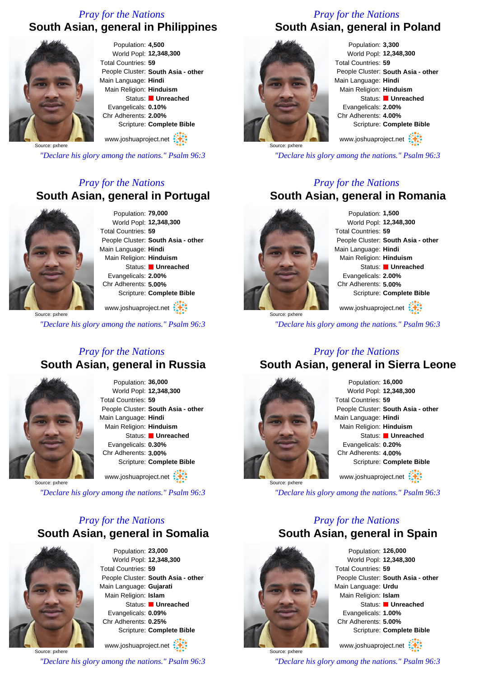# *Pray for the Nations* **South Asian, general in Philippines**



Population: **4,500** World Popl: **12,348,300** Total Countries: **59** People Cluster: **South Asia - other** Main Language: **Hindi** Main Religion: **Hinduism** Status: **Unreached** Evangelicals: **0.10%** Chr Adherents: **2.00%** Scripture: **Complete Bible**

www.joshuaproject.net

Source: pxhere

*"Declare his glory among the nations." Psalm 96:3*

# *Pray for the Nations* **South Asian, general in Portugal**



Population: **79,000** World Popl: **12,348,300** Total Countries: **59** People Cluster: **South Asia - other** Main Language: **Hindi** Main Religion: **Hinduism** Status: **Unreached** Evangelicals: **2.00%** Chr Adherents: **5.00%** Scripture: **Complete Bible**

Source: pxhere www.joshuaproject.net

*"Declare his glory among the nations." Psalm 96:3*

# *Pray for the Nations* **South Asian, general in Russia**



Population: **36,000** World Popl: **12,348,300** Total Countries: **59** People Cluster: **South Asia - other** Main Language: **Hindi** Main Religion: **Hinduism** Status: **Unreached** Evangelicals: **0.30%** Chr Adherents: **3.00%** Scripture: **Complete Bible** www.joshuaproject.net

Source: pxhere

*"Declare his glory among the nations." Psalm 96:3*

# *Pray for the Nations* **South Asian, general in Somalia**



Population: **23,000** World Popl: **12,348,300** Total Countries: **59** People Cluster: **South Asia - other** Main Language: **Gujarati** Main Religion: **Islam** Status: **Unreached** Evangelicals: **0.09%** Chr Adherents: **0.25%** Scripture: **Complete Bible**

Source: pxhere www.joshuaproject.net

*"Declare his glory among the nations." Psalm 96:3*

# *Pray for the Nations* **South Asian, general in Poland**



Population: **3,300** World Popl: **12,348,300** Total Countries: **59** People Cluster: **South Asia - other** Main Language: **Hindi** Main Religion: **Hinduism** Status: **Unreached** Evangelicals: **2.00%** Chr Adherents: **4.00%** Scripture: **Complete Bible**

www.joshuaproject.net

*"Declare his glory among the nations." Psalm 96:3*

# *Pray for the Nations*



Population: **1,500** World Popl: **12,348,300** Total Countries: **59** People Cluster: **South Asia - other** Main Language: **Hindi** Main Religion: **Hinduism** Status: **Unreached** Evangelicals: **2.00%** Chr Adherents: **5.00%** Scripture: **Complete Bible** www.joshuaproject.net

*"Declare his glory among the nations." Psalm 96:3*

#### *Pray for the Nations* **South Asian, general in Sierra Leone**



Population: **16,000** World Popl: **12,348,300** Total Countries: **59** People Cluster: **South Asia - other** Main Language: **Hindi** Main Religion: **Hinduism** Status: **Unreached** Evangelicals: **0.20%** Chr Adherents: **4.00%** Scripture: **Complete Bible** www.joshuaproject.net

*"Declare his glory among the nations." Psalm 96:3*

#### *Pray for the Nations* **South Asian, general in Spain**



Population: **126,000** World Popl: **12,348,300** Total Countries: **59** People Cluster: **South Asia - other** Main Language: **Urdu** Main Religion: **Islam** Status: **Unreached** Evangelicals: **1.00%** Chr Adherents: **5.00%** Scripture: **Complete Bible** www.joshuaproject.net

Source: pxhere *"Declare his glory among the nations." Psalm 96:3*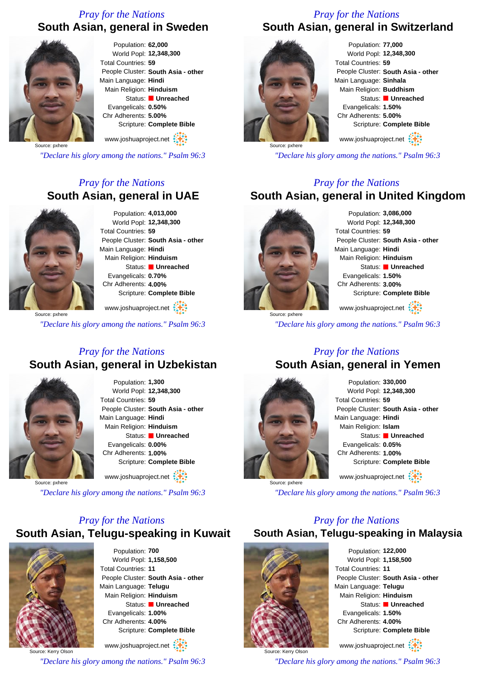# *Pray for the Nations* **South Asian, general in Sweden**



Population: **62,000** World Popl: **12,348,300** Total Countries: **59** People Cluster: **South Asia - other** Main Language: **Hindi** Main Religion: **Hinduism** Status: **Unreached** Evangelicals: **0.50%** Chr Adherents: **5.00%** Scripture: **Complete Bible**

www.joshuaproject.net

Source: pxhere

*"Declare his glory among the nations." Psalm 96:3*

# *Pray for the Nations* **South Asian, general in UAE**



Source: pxhere

Population: **4,013,000** World Popl: **12,348,300** Total Countries: **59** People Cluster: **South Asia - other** Main Language: **Hindi** Main Religion: **Hinduism** Status: **Unreached** Evangelicals: **0.70%** Chr Adherents: **4.00%** Scripture: **Complete Bible**

www.joshuaproject.net

*"Declare his glory among the nations." Psalm 96:3*

# *Pray for the Nations* **South Asian, general in Uzbekistan**



Population: **1,300** World Popl: **12,348,300** Total Countries: **59** People Cluster: **South Asia - other** Main Language: **Hindi** Main Religion: **Hinduism** Status: **Unreached** Evangelicals: **0.00%** Chr Adherents: **1.00%** Scripture: **Complete Bible** www.joshuaproject.net

Source: pxhere

*"Declare his glory among the nations." Psalm 96:3*

# *Pray for the Nations* **South Asian, Telugu-speaking in Kuwait**



Population: **700** World Popl: **1,158,500** Total Countries: **11** People Cluster: **South Asia - other** Main Language: **Telugu** Main Religion: **Hinduism** Status: **Unreached** Evangelicals: **1.00%** Chr Adherents: **4.00%** Scripture: **Complete Bible**

Source: Kerry Olson www.joshuaproject.net *"Declare his glory among the nations." Psalm 96:3*

# *Pray for the Nations* **South Asian, general in Switzerland**



Population: **77,000** World Popl: **12,348,300** Total Countries: **59** People Cluster: **South Asia - other** Main Language: **Sinhala** Main Religion: **Buddhism** Status: **Unreached** Evangelicals: **1.50%** Chr Adherents: **5.00%** Scripture: **Complete Bible**

www.joshuaproject.net

*"Declare his glory among the nations." Psalm 96:3*

#### *Pray for the Nations*

# **South Asian, general in United Kingdom**



Source: pxhere

Population: **3,086,000** World Popl: **12,348,300** Total Countries: **59** People Cluster: **South Asia - other** Main Language: **Hindi** Main Religion: **Hinduism** Status: **Unreached** Evangelicals: **1.50%** Chr Adherents: **3.00%** Scripture: **Complete Bible**

www.joshuaproject.net

*"Declare his glory among the nations." Psalm 96:3*

# *Pray for the Nations* **South Asian, general in Yemen**



Population: **330,000** World Popl: **12,348,300** Total Countries: **59** People Cluster: **South Asia - other** Main Language: **Hindi** Main Religion: **Islam** Status: **Unreached** Evangelicals: **0.05%** Chr Adherents: **1.00%** Scripture: **Complete Bible** www.joshuaproject.net

*"Declare his glory among the nations." Psalm 96:3*

# *Pray for the Nations*

**South Asian, Telugu-speaking in Malaysia**



Population: **122,000** World Popl: **1,158,500** Total Countries: **11** People Cluster: **South Asia - other** Main Language: **Telugu** Main Religion: **Hinduism** Status: **Unreached** Evangelicals: **1.50%** Chr Adherents: **4.00%** Scripture: **Complete Bible**

www.joshuaproject.net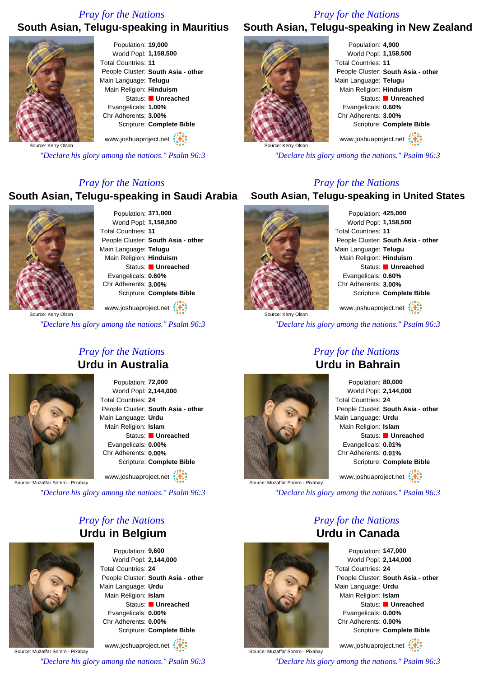#### *Pray for the Nations*

# *Pray for the Nations*

#### **South Asian, Telugu-speaking in Mauritius South Asian, Telugu-speaking in New Zealand**



Population: **19,000** World Popl: **1,158,500** Total Countries: **11** People Cluster: **South Asia - other** Main Language: **Telugu** Main Religion: **Hinduism** Status: **Unreached** Evangelicals: **1.00%** Chr Adherents: **3.00%** Scripture: **Complete Bible** www.joshuaproject.net

Source: Kerry Olson

*"Declare his glory among the nations." Psalm 96:3*

#### *Pray for the Nations*

#### **South Asian, Telugu-speaking in Saudi Arabia**



Population: **371,000** World Popl: **1,158,500** Total Countries: **11** People Cluster: **South Asia - other** Main Language: **Telugu** Main Religion: **Hinduism** Status: **Unreached** Evangelicals: **0.60%** Chr Adherents: **3.00%** Scripture: **Complete Bible**

www.joshuaproject.net

*"Declare his glory among the nations." Psalm 96:3*

#### *Pray for the Nations* **Urdu in Australia**



Population: **72,000** World Popl: **2,144,000** Total Countries: **24** People Cluster: **South Asia - other** Main Language: **Urdu** Main Religion: **Islam** Status: **Unreached** Evangelicals: **0.00%** Chr Adherents: **0.00%** Scripture: **Complete Bible**

www.joshuaproject.net

Source: Muzaffar Somro - Pixabay

*"Declare his glory among the nations." Psalm 96:3*

# *Pray for the Nations* **Urdu in Belgium**



Population: **9,600** World Popl: **2,144,000** Total Countries: **24** People Cluster: **South Asia - other** Main Language: **Urdu** Main Religion: **Islam** Status: **Unreached** Evangelicals: **0.00%** Chr Adherents: **0.00%** Scripture: **Complete Bible**

Source: Muzaffar Somro - Pixabay www.joshuaproject.net *"Declare his glory among the nations." Psalm 96:3*



Population: **4,900** World Popl: **1,158,500** Total Countries: **11** People Cluster: **South Asia - other** Main Language: **Telugu** Main Religion: **Hinduism** Status: **Unreached** Evangelicals: **0.60%** Chr Adherents: **3.00%** Scripture: **Complete Bible**

www.joshuaproject.net

*"Declare his glory among the nations." Psalm 96:3*

#### *Pray for the Nations*

#### **South Asian, Telugu-speaking in United States**



Population: **425,000** World Popl: **1,158,500** Total Countries: **11** People Cluster: **South Asia - other** Main Language: **Telugu** Main Religion: **Hinduism** Status: **Unreached** Evangelicals: **0.60%** Chr Adherents: **3.00%** Scripture: **Complete Bible**

www.joshuaproject.net

*"Declare his glory among the nations." Psalm 96:3*



# *Pray for the Nations* **Urdu in Bahrain**

Population: **80,000** World Popl: **2,144,000** Total Countries: **24** People Cluster: **South Asia - other** Main Language: **Urdu** Main Religion: **Islam** Status: **Unreached** Evangelicals: **0.01%** Chr Adherents: **0.01%** Scripture: **Complete Bible** www.joshuaproject.net

Source: Muzaffar Somro - Pixabay

*"Declare his glory among the nations." Psalm 96:3*

# *Pray for the Nations* **Urdu in Canada**



www.joshuaproject.net

*"Declare his glory among the nations." Psalm 96:3*



Source: Muzaffar Somro - Pixabay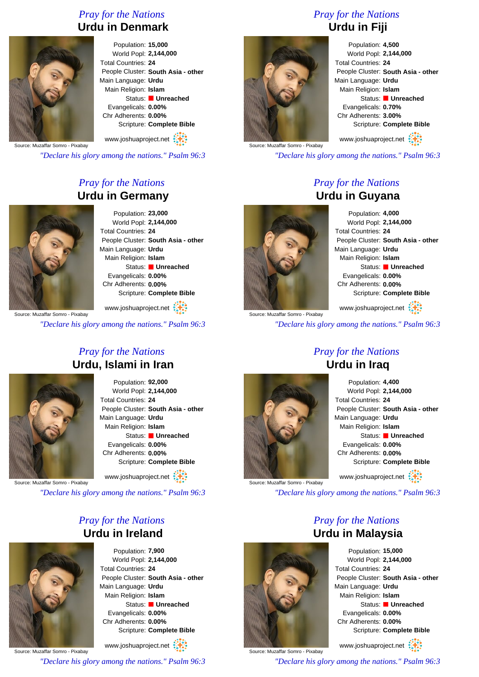# *Pray for the Nations* **Urdu in Denmark**



Population: **15,000** World Popl: **2,144,000** Total Countries: **24** People Cluster: **South Asia - other** Main Language: **Urdu** Main Religion: **Islam** Status: **Unreached** Evangelicals: **0.00%** Chr Adherents: **0.00%** Scripture: **Complete Bible**

Source: Muzaffar Somro - Pixabay www.joshuaproject.net

*"Declare his glory among the nations." Psalm 96:3*

# *Pray for the Nations* **Urdu in Germany**



Population: **23,000** World Popl: **2,144,000** Total Countries: **24** People Cluster: **South Asia - other** Main Language: **Urdu** Main Religion: **Islam** Status: **Unreached** Evangelicals: **0.00%** Chr Adherents: **0.00%** Scripture: **Complete Bible**

www.joshuaproject.net

*"Declare his glory among the nations." Psalm 96:3*

# *Pray for the Nations* **Urdu, Islami in Iran**



Population: **92,000** World Popl: **2,144,000** Total Countries: **24** People Cluster: **South Asia - other** Main Language: **Urdu** Main Religion: **Islam** Status: **Unreached** Evangelicals: **0.00%** Chr Adherents: **0.00%** Scripture: **Complete Bible**

www.joshuaproject.net

Source: Muzaffar Somro - Pixabay

*"Declare his glory among the nations." Psalm 96:3*

# *Pray for the Nations* **Urdu in Ireland**



Population: **7,900** World Popl: **2,144,000** Total Countries: **24** People Cluster: **South Asia - other** Main Language: **Urdu** Main Religion: **Islam** Status: **Unreached** Evangelicals: **0.00%** Chr Adherents: **0.00%** Scripture: **Complete Bible**

Source: Muzaffar Somro - Pixabay www.joshuaproject.net *"Declare his glory among the nations." Psalm 96:3*

# *Pray for the Nations* **Urdu in Fiji**



Population: **4,500** World Popl: **2,144,000** Total Countries: **24** People Cluster: **South Asia - other** Main Language: **Urdu** Main Religion: **Islam** Status: **Unreached** Evangelicals: **0.70%** Chr Adherents: **3.00%** Scripture: **Complete Bible**

www.joshuaproject.net

*"Declare his glory among the nations." Psalm 96:3*

# *Pray for the Nations* **Urdu in Guyana**



Source: Muzaffar Somro - Pixabay

Population: **4,000** World Popl: **2,144,000** Total Countries: **24** People Cluster: **South Asia - other** Main Language: **Urdu** Main Religion: **Islam** Status: **Unreached** Evangelicals: **0.00%** Chr Adherents: **0.00%** Scripture: **Complete Bible**

www.joshuaproject.net

*"Declare his glory among the nations." Psalm 96:3*

# *Pray for the Nations*



Population: **4,400** World Popl: **2,144,000** Total Countries: **24** People Cluster: **South Asia - other** Main Language: **Urdu** Main Religion: **Islam** Status: **Unreached** Evangelicals: **0.00%** Chr Adherents: **0.00%** Scripture: **Complete Bible** www.joshuaproject.net

*"Declare his glory among the nations." Psalm 96:3*

# *Pray for the Nations* **Urdu in Malaysia**



Source: Muzaffar Somro - Pixabay

Population: **15,000** World Popl: **2,144,000** Total Countries: **24** People Cluster: **South Asia - other** Main Language: **Urdu** Main Religion: **Islam** Status: **Unreached** Evangelicals: **0.00%** Chr Adherents: **0.00%** Scripture: **Complete Bible**

www.joshuaproject.net

*"Declare his glory among the nations." Psalm 96:3*

# **Urdu in Iraq**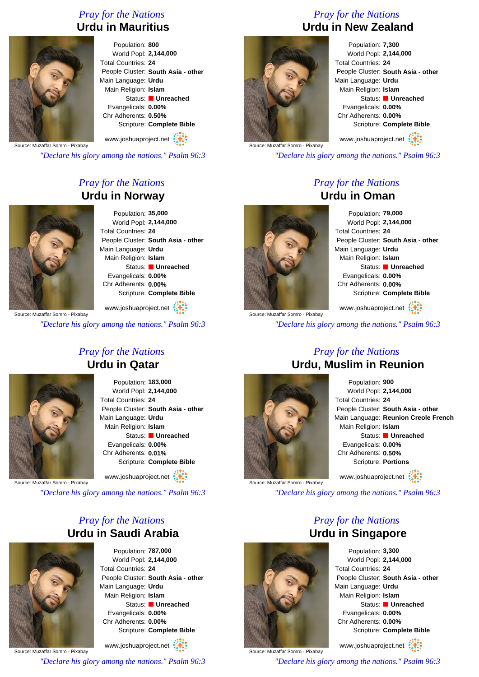# *Pray for the Nations* **Urdu in Mauritius**



Population: **800** World Popl: **2,144,000** Total Countries: **24** People Cluster: **South Asia - other** Main Language: **Urdu** Main Religion: **Islam** Status: **Unreached** Evangelicals: **0.00%** Chr Adherents: **0.50%** Scripture: **Complete Bible**

Source: Muzaffar Somro - Pixabay www.joshuaproject.net

*"Declare his glory among the nations." Psalm 96:3*

# *Pray for the Nations* **Urdu in Norway**



Source: Muzaffar Somro - Pixabay

Population: **35,000** World Popl: **2,144,000** Total Countries: **24** People Cluster: **South Asia - other** Main Language: **Urdu** Main Religion: **Islam** Status: **Unreached** Evangelicals: **0.00%** Chr Adherents: **0.00%** Scripture: **Complete Bible**

www.joshuaproject.net

*"Declare his glory among the nations." Psalm 96:3*

# *Pray for the Nations* **Urdu in Qatar**



Population: **183,000** World Popl: **2,144,000** Total Countries: **24** People Cluster: **South Asia - other** Main Language: **Urdu** Main Religion: **Islam** Status: **Unreached** Evangelicals: **0.00%** Chr Adherents: **0.01%** Scripture: **Complete Bible**

www.joshuaproject.net

Source: Muzaffar Somro - Pixabay

*"Declare his glory among the nations." Psalm 96:3*

# *Pray for the Nations* **Urdu in Saudi Arabia**



Population: **787,000** World Popl: **2,144,000** Total Countries: **24** People Cluster: **South Asia - other** Main Language: **Urdu** Main Religion: **Islam** Status: **Unreached** Evangelicals: **0.00%** Chr Adherents: **0.00%** Scripture: **Complete Bible**

Source: Muzaffar Somro - Pixabay www.joshuaproject.net *"Declare his glory among the nations." Psalm 96:3*

# *Pray for the Nations* **Urdu in New Zealand**



Population: **7,300** World Popl: **2,144,000** Total Countries: **24** People Cluster: **South Asia - other** Main Language: **Urdu** Main Religion: **Islam** Status: **Unreached** Evangelicals: **0.00%** Chr Adherents: **0.00%** Scripture: **Complete Bible** www.joshuaproject.net

Source: Muzaffar Somro - Pixabay

*"Declare his glory among the nations." Psalm 96:3*

# *Pray for the Nations* **Urdu in Oman**



Source: Muzaffar Somro - Pixabay

Population: **79,000** World Popl: **2,144,000** Total Countries: **24** People Cluster: **South Asia - other** Main Language: **Urdu** Main Religion: **Islam** Status: **Unreached** Evangelicals: **0.00%** Chr Adherents: **0.00%** Scripture: **Complete Bible**

www.joshuaproject.net

*"Declare his glory among the nations." Psalm 96:3*

# *Pray for the Nations* **Urdu, Muslim in Reunion**



Population: **900** World Popl: **2,144,000** Total Countries: **24** People Cluster: **South Asia - other** Main Language: **Reunion Creole French** Main Religion: **Islam** Status: **Unreached** Evangelicals: **0.00%** Chr Adherents: **0.50%** Scripture: **Portions** www.joshuaproject.net

Source: Muzaffar Somro - Pixabay

*"Declare his glory among the nations." Psalm 96:3*

*Pray for the Nations*



**Urdu in Singapore** Population: **3,300** World Popl: **2,144,000** Total Countries: **24** People Cluster: **South Asia - other** Main Language: **Urdu** Main Religion: **Islam** Status: **Unreached** Evangelicals: **0.00%** Chr Adherents: **0.00%** Scripture: **Complete Bible**

www.joshuaproject.net